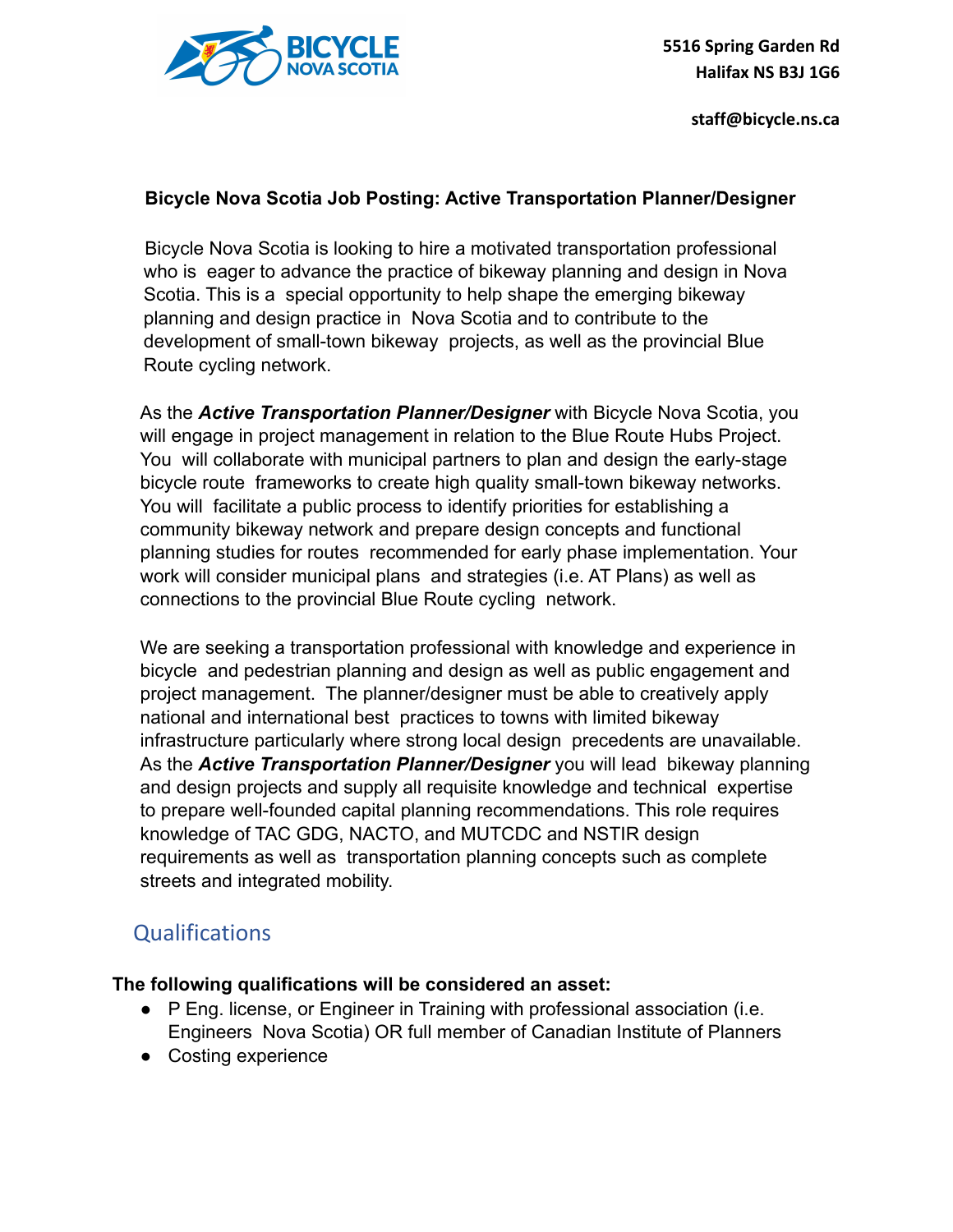

### **Bicycle Nova Scotia Job Posting: Active Transportation Planner/Designer**

Bicycle Nova Scotia is looking to hire a motivated transportation professional who is eager to advance the practice of bikeway planning and design in Nova Scotia. This is a special opportunity to help shape the emerging bikeway planning and design practice in Nova Scotia and to contribute to the development of small-town bikeway projects, as well as the provincial Blue Route cycling network.

As the *Active Transportation Planner/Designer* with Bicycle Nova Scotia, you will engage in project management in relation to the Blue Route Hubs Project. You will collaborate with municipal partners to plan and design the early-stage bicycle route frameworks to create high quality small-town bikeway networks. You will facilitate a public process to identify priorities for establishing a community bikeway network and prepare design concepts and functional planning studies for routes recommended for early phase implementation. Your work will consider municipal plans and strategies (i.e. AT Plans) as well as connections to the provincial Blue Route cycling network.

We are seeking a transportation professional with knowledge and experience in bicycle and pedestrian planning and design as well as public engagement and project management. The planner/designer must be able to creatively apply national and international best practices to towns with limited bikeway infrastructure particularly where strong local design precedents are unavailable. As the *Active Transportation Planner/Designer* you will lead bikeway planning and design projects and supply all requisite knowledge and technical expertise to prepare well-founded capital planning recommendations. This role requires knowledge of TAC GDG, NACTO, and MUTCDC and NSTIR design requirements as well as transportation planning concepts such as complete streets and integrated mobility.

# **Qualifications**

### **The following qualifications will be considered an asset:**

- P Eng. license, or Engineer in Training with professional association (i.e. Engineers Nova Scotia) OR full member of Canadian Institute of Planners
- Costing experience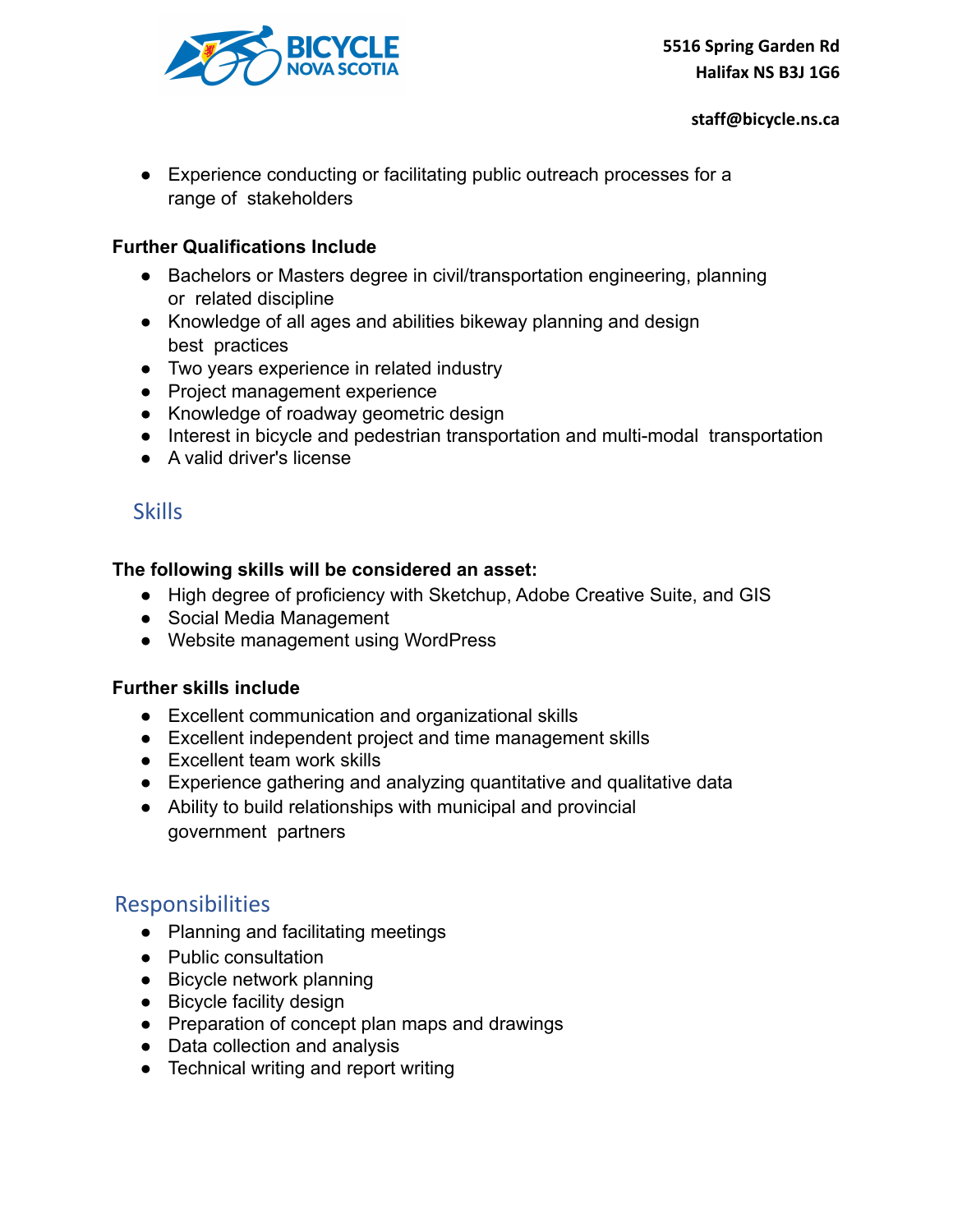

● Experience conducting or facilitating public outreach processes for a range of stakeholders

### **Further Qualifications Include**

- Bachelors or Masters degree in civil/transportation engineering, planning or related discipline
- Knowledge of all ages and abilities bikeway planning and design best practices
- Two years experience in related industry
- Project management experience
- Knowledge of roadway geometric design
- Interest in bicycle and pedestrian transportation and multi-modal transportation
- A valid driver's license

## **Skills**

### **The following skills will be considered an asset:**

- High degree of proficiency with Sketchup, Adobe Creative Suite, and GIS
- Social Media Management
- Website management using WordPress

### **Further skills include**

- Excellent communication and organizational skills
- Excellent independent project and time management skills
- Excellent team work skills
- Experience gathering and analyzing quantitative and qualitative data
- Ability to build relationships with municipal and provincial government partners

### Responsibilities

- Planning and facilitating meetings
- Public consultation
- Bicycle network planning
- Bicycle facility design
- Preparation of concept plan maps and drawings
- Data collection and analysis
- Technical writing and report writing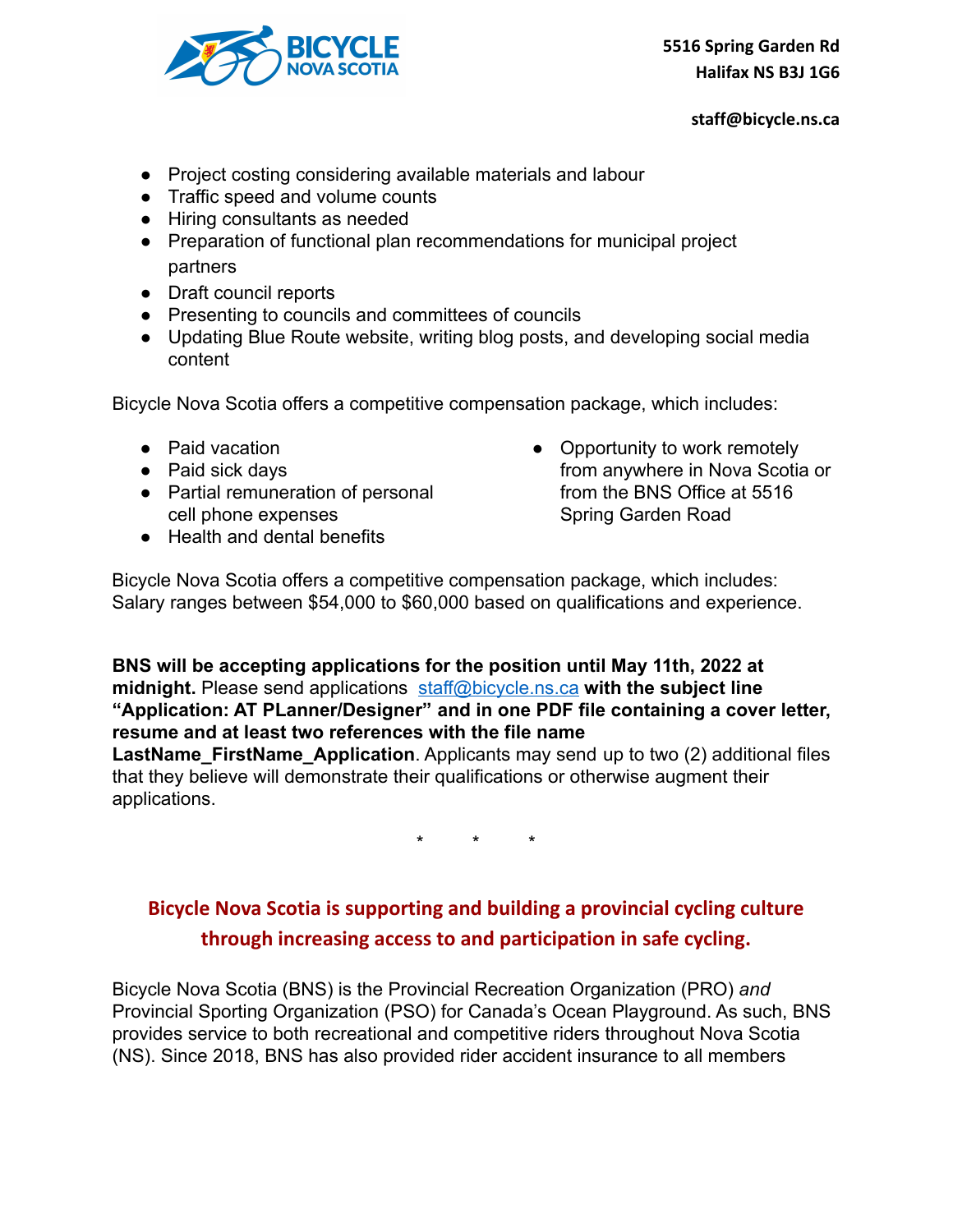

- Project costing considering available materials and labour
- Traffic speed and volume counts
- Hiring consultants as needed
- Preparation of functional plan recommendations for municipal project partners
- Draft council reports
- Presenting to councils and committees of councils
- Updating Blue Route website, writing blog posts, and developing social media content

Bicycle Nova Scotia offers a competitive compensation package, which includes:

- Paid vacation
- Paid sick days
- Partial remuneration of personal cell phone expenses
- Health and dental benefits

• Opportunity to work remotely from anywhere in Nova Scotia or from the BNS Office at 5516 Spring Garden Road

Bicycle Nova Scotia offers a competitive compensation package, which includes: Salary ranges between \$54,000 to \$60,000 based on qualifications and experience.

**BNS will be accepting applications for the position until May 11th, 2022 at midnight.** Please send applications [staff@bicycle.ns.ca](mailto:staff@bicycle.ns.ca) **with the subject line "Application: AT PLanner/Designer" and in one PDF file containing a cover letter, resume and at least two references with the file name LastName FirstName Application**. Applicants may send up to two (2) additional files

that they believe will demonstrate their qualifications or otherwise augment their applications.

\* \* \*

## **Bicycle Nova Scotia is supporting and building a provincial cycling culture through increasing access to and participation in safe cycling.**

Bicycle Nova Scotia (BNS) is the Provincial Recreation Organization (PRO) *and* Provincial Sporting Organization (PSO) for Canada's Ocean Playground. As such, BNS provides service to both recreational and competitive riders throughout Nova Scotia (NS). Since 2018, BNS has also provided rider accident insurance to all members